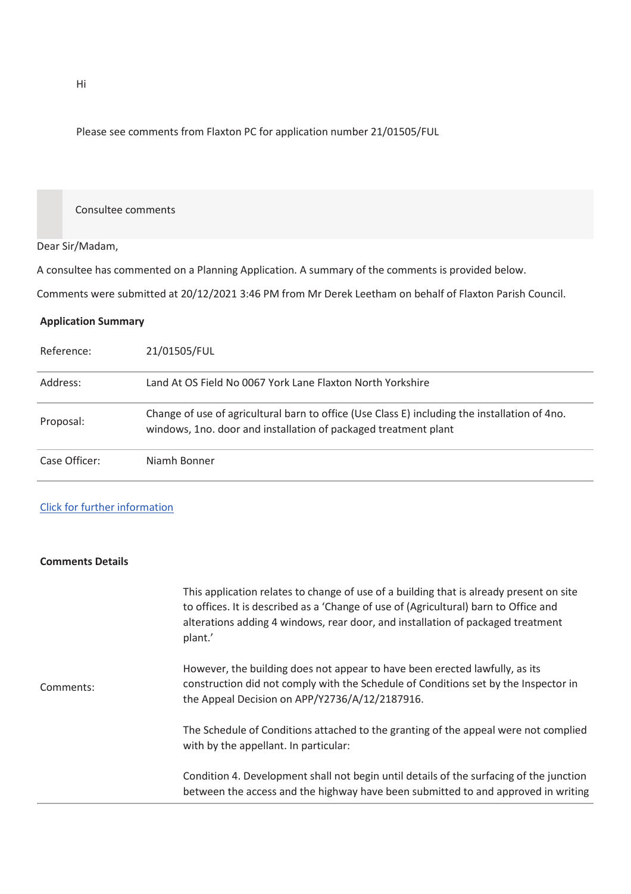Please see comments from Flaxton PC for application number 21/01505/FUL

## Consultee comments

## Dear Sir/Madam,

A consultee has commented on a Planning Application. A summary of the comments is provided below.

Comments were submitted at 20/12/2021 3:46 PM from Mr Derek Leetham on behalf of Flaxton Parish Council.

## **Application Summary**

| Reference:    | 21/01505/FUL                                                                                                                                                     |
|---------------|------------------------------------------------------------------------------------------------------------------------------------------------------------------|
| Address:      | Land At OS Field No 0067 York Lane Flaxton North Yorkshire                                                                                                       |
| Proposal:     | Change of use of agricultural barn to office (Use Class E) including the installation of 4no.<br>windows, 1no. door and installation of packaged treatment plant |
| Case Officer: | Niamh Bonner                                                                                                                                                     |

## Click for further information

| <b>Comments Details</b> |                                                                                                                                                                                                                                                                               |
|-------------------------|-------------------------------------------------------------------------------------------------------------------------------------------------------------------------------------------------------------------------------------------------------------------------------|
|                         | This application relates to change of use of a building that is already present on site<br>to offices. It is described as a 'Change of use of (Agricultural) barn to Office and<br>alterations adding 4 windows, rear door, and installation of packaged treatment<br>plant.' |
| Comments:               | However, the building does not appear to have been erected lawfully, as its<br>construction did not comply with the Schedule of Conditions set by the Inspector in<br>the Appeal Decision on APP/Y2736/A/12/2187916.                                                          |
|                         | The Schedule of Conditions attached to the granting of the appeal were not complied<br>with by the appellant. In particular:                                                                                                                                                  |
|                         | Condition 4. Development shall not begin until details of the surfacing of the junction<br>between the access and the highway have been submitted to and approved in writing                                                                                                  |

Hi